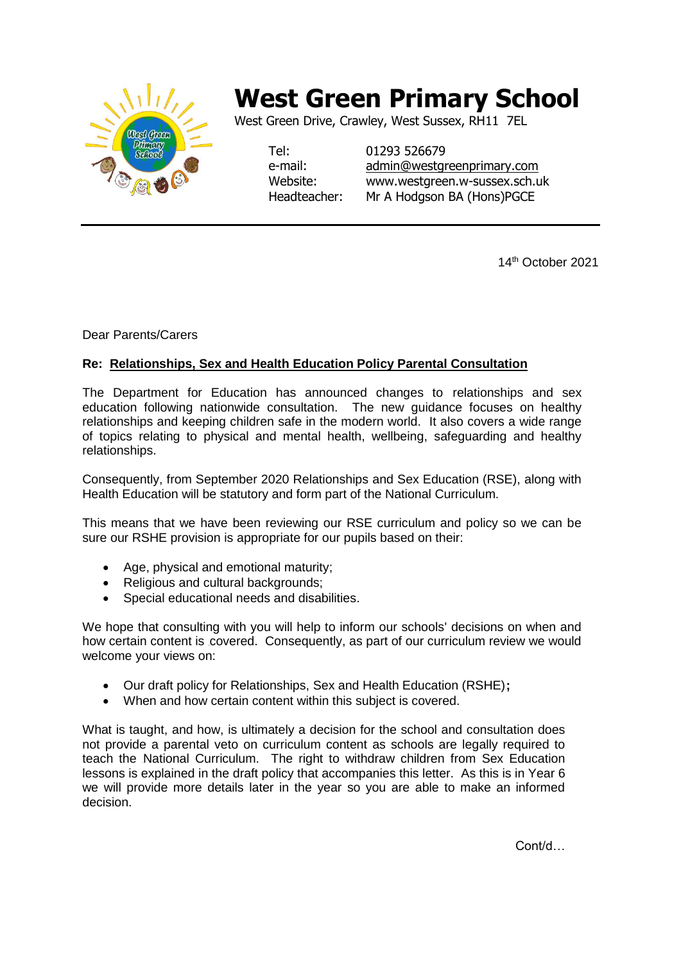

## **West Green Primary School**

West Green Drive, Crawley, West Sussex, RH11 7EL

Tel: 01293 526679 e-mail: [admin@westgreenprimary.com](mailto:admin@westgreenprimary.com) Website: www.westgreen.w-sussex.sch.uk Headteacher: Mr A Hodgson BA (Hons)PGCE

14th October 2021

Dear Parents/Carers

## **Re: Relationships, Sex and Health Education Policy Parental Consultation**

The Department for Education has announced changes to relationships and sex education following nationwide consultation. The new guidance focuses on healthy relationships and keeping children safe in the modern world. It also covers a wide range of topics relating to physical and mental health, wellbeing, safeguarding and healthy relationships.

Consequently, from September 2020 Relationships and Sex Education (RSE), along with Health Education will be statutory and form part of the National Curriculum.

This means that we have been reviewing our RSE curriculum and policy so we can be sure our RSHE provision is appropriate for our pupils based on their:

- Age, physical and emotional maturity;
- Religious and cultural backgrounds:
- Special educational needs and disabilities.

We hope that consulting with you will help to inform our schools' decisions on when and how certain content is covered. Consequently, as part of our curriculum review we would welcome your views on:

- Our draft policy for Relationships, Sex and Health Education (RSHE)**;**
- When and how certain content within this subject is covered.

What is taught, and how, is ultimately a decision for the school and consultation does not provide a parental veto on curriculum content as schools are legally required to teach the National Curriculum. The right to withdraw children from Sex Education lessons is explained in the draft policy that accompanies this letter. As this is in Year 6 we will provide more details later in the year so you are able to make an informed decision.

Cont/d…